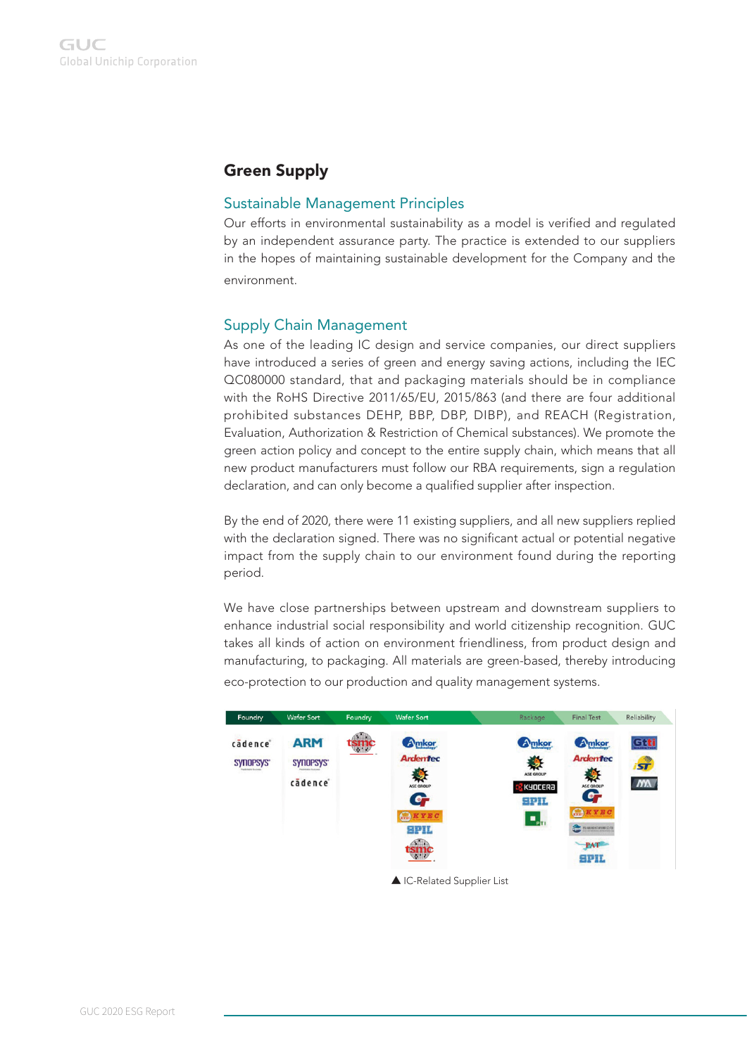# Green Supply

## Sustainable Management Principles

Our efforts in environmental sustainability as a model is verified and regulated by an independent assurance party. The practice is extended to our suppliers in the hopes of maintaining sustainable development for the Company and the environment.

# Supply Chain Management

As one of the leading IC design and service companies, our direct suppliers have introduced a series of green and energy saving actions, including the IEC QC080000 standard, that and packaging materials should be in compliance with the RoHS Directive 2011/65/EU, 2015/863 (and there are four additional prohibited substances DEHP, BBP, DBP, DIBP), and REACH (Registration, Evaluation, Authorization & Restriction of Chemical substances). We promote the green action policy and concept to the entire supply chain, which means that all new product manufacturers must follow our RBA requirements, sign a regulation declaration, and can only become a qualified supplier after inspection.

By the end of 2020, there were 11 existing suppliers, and all new suppliers replied with the declaration signed. There was no significant actual or potential negative impact from the supply chain to our environment found during the reporting period.

We have close partnerships between upstream and downstream suppliers to enhance industrial social responsibility and world citizenship recognition. GUC takes all kinds of action on environment friendliness, from product design and manufacturing, to packaging. All materials are green-based, thereby introducing eco-protection to our production and quality management systems.

| Foundry              | <b>Wafer Sort</b>                  | Foundry    | <b>Wafer Sort</b>                                                                                            | Rackage                                                                  | <b>Final Test</b>                                                                                             | Reliability                       |
|----------------------|------------------------------------|------------|--------------------------------------------------------------------------------------------------------------|--------------------------------------------------------------------------|---------------------------------------------------------------------------------------------------------------|-----------------------------------|
| cadence<br>SYNOPSYS" | <b>ARM</b><br>SYNOPSYS'<br>cadence | $\sqrt{2}$ | Amkor<br><b>Ardentec</b><br>ASE GROUP<br><b>e</b> r<br>$Q$ <b><i>KYEC</i></b><br><b>SPIL</b><br>$\mathbf{r}$ | Amkor<br>ASE GROUP<br>KYOCERA<br><b>SPIL</b><br>$\mathbf{Q}_{\text{pt}}$ | <b>A</b> mkor<br><b>Ardentec</b><br>ASE GROUP<br>G,<br>$G$ <b><i>KYEC</i></b><br><b>BERKRISHINGSON</b><br>PAT | Gtti<br>$\mathbf{r}$<br><b>NX</b> |

▲ IC-Related Supplier List